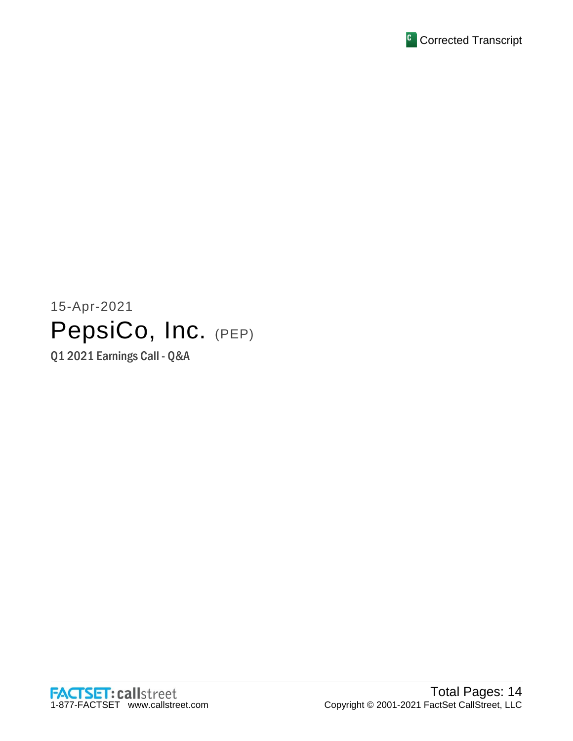

# 15-Apr-2021 PepsiCo, Inc. (PEP)

Q1 2021 Earnings Call - Q&A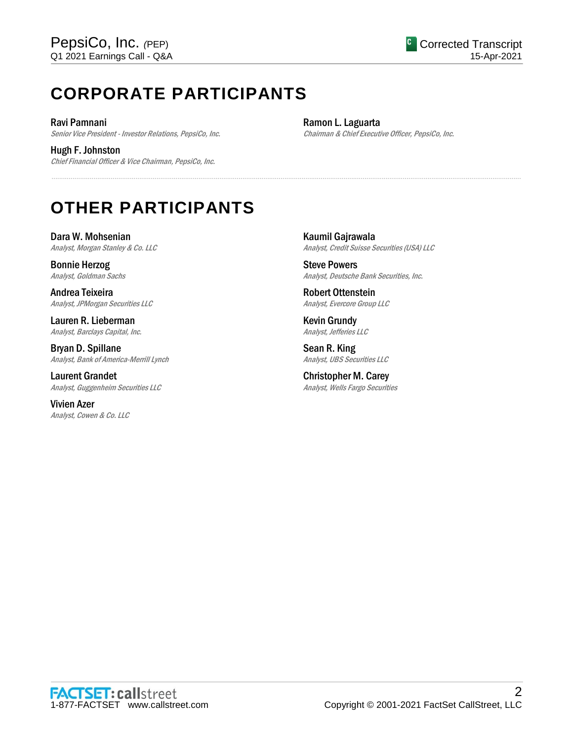# **CORPORATE PARTICIPANTS**

Ravi Pamnani Senior Vice President - Investor Relations, PepsiCo, Inc.

Hugh F. Johnston Chief Financial Officer & Vice Chairman, PepsiCo, Inc. Ramon L. Laguarta Chairman & Chief Executive Officer, PepsiCo, Inc.

# **OTHER PARTICIPANTS**

Dara W. Mohsenian Analyst, Morgan Stanley & Co. LLC

Bonnie Herzog Analyst, Goldman Sachs

Andrea Teixeira Analyst, JPMorgan Securities LLC

Lauren R. Lieberman Analyst, Barclays Capital, Inc.

Bryan D. Spillane Analyst, Bank of America-Merrill Lynch

Laurent Grandet Analyst, Guggenheim Securities LLC

Vivien Azer Analyst, Cowen & Co. LLC Kaumil Gajrawala Analyst, Credit Suisse Securities (USA) LLC

Steve Powers Analyst, Deutsche Bank Securities, Inc.

Robert Ottenstein Analyst, Evercore Group LLC

Kevin Grundy Analyst, Jefferies LLC

......................................................................................................................................................................................................................................................

Sean R. King Analyst, UBS Securities LLC

Christopher M. Carey Analyst, Wells Fargo Securities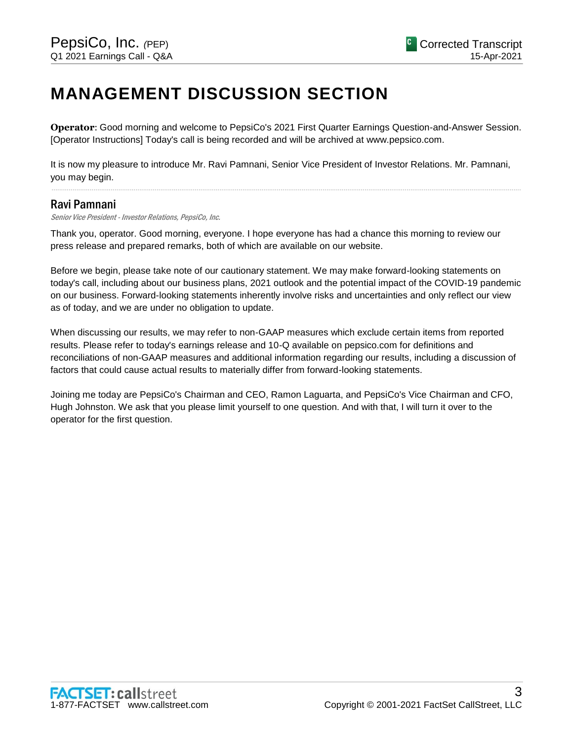# **MANAGEMENT DISCUSSION SECTION**

**Operator**: Good morning and welcome to PepsiCo's 2021 First Quarter Earnings Question-and-Answer Session. [Operator Instructions] Today's call is being recorded and will be archived at www.pepsico.com.

It is now my pleasure to introduce Mr. Ravi Pamnani, Senior Vice President of Investor Relations. Mr. Pamnani, you may begin.

......................................................................................................................................................................................................................................................

# Ravi Pamnani

Senior Vice President - Investor Relations, PepsiCo, Inc.

Thank you, operator. Good morning, everyone. I hope everyone has had a chance this morning to review our press release and prepared remarks, both of which are available on our website.

Before we begin, please take note of our cautionary statement. We may make forward-looking statements on today's call, including about our business plans, 2021 outlook and the potential impact of the COVID-19 pandemic on our business. Forward-looking statements inherently involve risks and uncertainties and only reflect our view as of today, and we are under no obligation to update.

When discussing our results, we may refer to non-GAAP measures which exclude certain items from reported results. Please refer to today's earnings release and 10-Q available on pepsico.com for definitions and reconciliations of non-GAAP measures and additional information regarding our results, including a discussion of factors that could cause actual results to materially differ from forward-looking statements.

Joining me today are PepsiCo's Chairman and CEO, Ramon Laguarta, and PepsiCo's Vice Chairman and CFO, Hugh Johnston. We ask that you please limit yourself to one question. And with that, I will turn it over to the operator for the first question.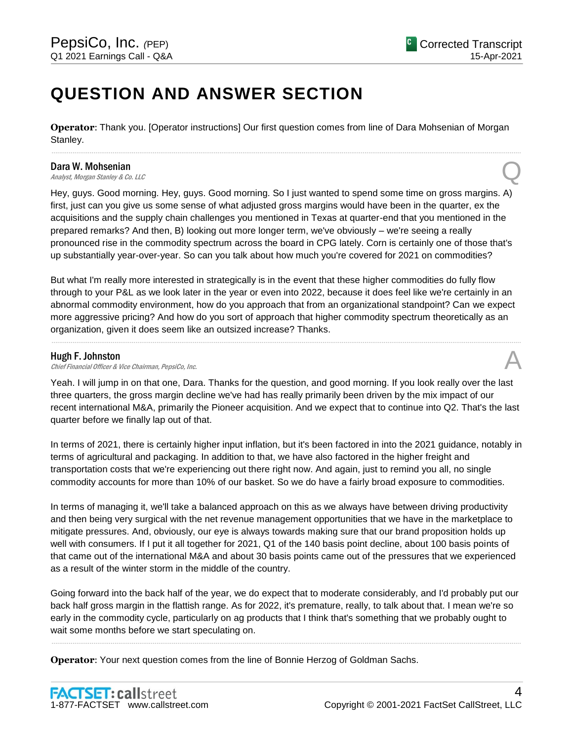# **QUESTION AND ANSWER SECTION**

**Operator**: Thank you. [Operator instructions] Our first question comes from line of Dara Mohsenian of Morgan Stanley.

......................................................................................................................................................................................................................................................

#### Dara W. Mohsenian

**Dara W. Mohsenian**<br>Analyst, Morgan Stanley & Co. LLC

Hey, guys. Good morning. Hey, guys. Good morning. So I just wanted to spend some time on gross margins. A) first, just can you give us some sense of what adjusted gross margins would have been in the quarter, ex the acquisitions and the supply chain challenges you mentioned in Texas at quarter-end that you mentioned in the prepared remarks? And then, B) looking out more longer term, we've obviously – we're seeing a really pronounced rise in the commodity spectrum across the board in CPG lately. Corn is certainly one of those that's up substantially year-over-year. So can you talk about how much you're covered for 2021 on commodities?

But what I'm really more interested in strategically is in the event that these higher commodities do fully flow through to your P&L as we look later in the year or even into 2022, because it does feel like we're certainly in an abnormal commodity environment, how do you approach that from an organizational standpoint? Can we expect more aggressive pricing? And how do you sort of approach that higher commodity spectrum theoretically as an organization, given it does seem like an outsized increase? Thanks.

......................................................................................................................................................................................................................................................

#### Hugh F. Johnston

Chief Financial Officer & Vice Chairman, PepsiCo, Inc.

Yeah. I will jump in on that one, Dara. Thanks for the question, and good morning. If you look really over the last three quarters, the gross margin decline we've had has really primarily been driven by the mix impact of our recent international M&A, primarily the Pioneer acquisition. And we expect that to continue into Q2. That's the last quarter before we finally lap out of that.

In terms of 2021, there is certainly higher input inflation, but it's been factored in into the 2021 guidance, notably in terms of agricultural and packaging. In addition to that, we have also factored in the higher freight and transportation costs that we're experiencing out there right now. And again, just to remind you all, no single commodity accounts for more than 10% of our basket. So we do have a fairly broad exposure to commodities.

In terms of managing it, we'll take a balanced approach on this as we always have between driving productivity and then being very surgical with the net revenue management opportunities that we have in the marketplace to mitigate pressures. And, obviously, our eye is always towards making sure that our brand proposition holds up well with consumers. If I put it all together for 2021, Q1 of the 140 basis point decline, about 100 basis points of that came out of the international M&A and about 30 basis points came out of the pressures that we experienced as a result of the winter storm in the middle of the country.

Going forward into the back half of the year, we do expect that to moderate considerably, and I'd probably put our back half gross margin in the flattish range. As for 2022, it's premature, really, to talk about that. I mean we're so early in the commodity cycle, particularly on ag products that I think that's something that we probably ought to wait some months before we start speculating on.

......................................................................................................................................................................................................................................................

**Operator**: Your next question comes from the line of Bonnie Herzog of Goldman Sachs.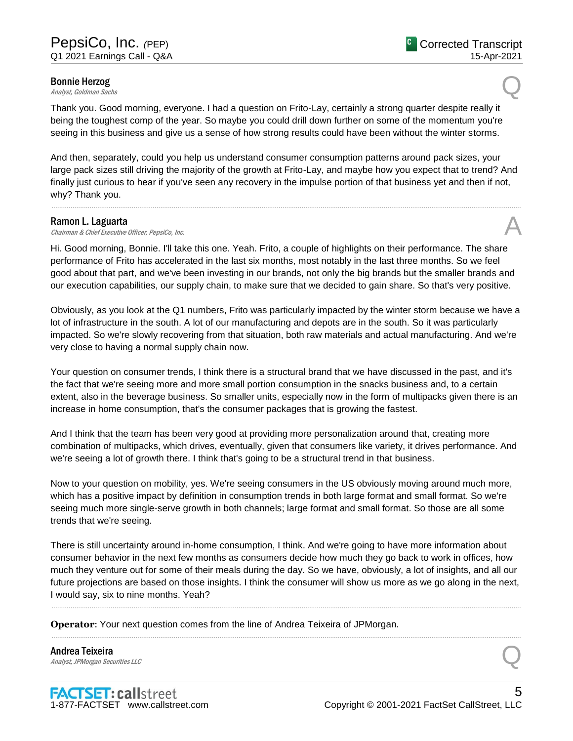# **Bonnie Herzog**<br>Analyst, Goldman Sachs **Bonnie Herzog**<br>Analyst, Goldman Sachs Queen Sachs Queen Sachs Queen Sachs Queen Sachs Queen Sachs Queen Sachs Queen Sachs Queen S

Thank you. Good morning, everyone. I had a question on Frito-Lay, certainly a strong quarter despite really it being the toughest comp of the year. So maybe you could drill down further on some of the momentum you're seeing in this business and give us a sense of how strong results could have been without the winter storms.

And then, separately, could you help us understand consumer consumption patterns around pack sizes, your large pack sizes still driving the majority of the growth at Frito-Lay, and maybe how you expect that to trend? And finally just curious to hear if you've seen any recovery in the impulse portion of that business yet and then if not, why? Thank you.

......................................................................................................................................................................................................................................................

#### Ramon L. Laguarta

**Ramon L. Laguarta**<br>Chairman & Chief Executive Officer, PepsiCo, Inc.  $\mathcal{A}$ 

Hi. Good morning, Bonnie. I'll take this one. Yeah. Frito, a couple of highlights on their performance. The share performance of Frito has accelerated in the last six months, most notably in the last three months. So we feel good about that part, and we've been investing in our brands, not only the big brands but the smaller brands and our execution capabilities, our supply chain, to make sure that we decided to gain share. So that's very positive.

Obviously, as you look at the Q1 numbers, Frito was particularly impacted by the winter storm because we have a lot of infrastructure in the south. A lot of our manufacturing and depots are in the south. So it was particularly impacted. So we're slowly recovering from that situation, both raw materials and actual manufacturing. And we're very close to having a normal supply chain now.

Your question on consumer trends, I think there is a structural brand that we have discussed in the past, and it's the fact that we're seeing more and more small portion consumption in the snacks business and, to a certain extent, also in the beverage business. So smaller units, especially now in the form of multipacks given there is an increase in home consumption, that's the consumer packages that is growing the fastest.

And I think that the team has been very good at providing more personalization around that, creating more combination of multipacks, which drives, eventually, given that consumers like variety, it drives performance. And we're seeing a lot of growth there. I think that's going to be a structural trend in that business.

Now to your question on mobility, yes. We're seeing consumers in the US obviously moving around much more, which has a positive impact by definition in consumption trends in both large format and small format. So we're seeing much more single-serve growth in both channels; large format and small format. So those are all some trends that we're seeing.

There is still uncertainty around in-home consumption, I think. And we're going to have more information about consumer behavior in the next few months as consumers decide how much they go back to work in offices, how much they venture out for some of their meals during the day. So we have, obviously, a lot of insights, and all our future projections are based on those insights. I think the consumer will show us more as we go along in the next, I would say, six to nine months. Yeah?

......................................................................................................................................................................................................................................................

......................................................................................................................................................................................................................................................

**Operator**: Your next question comes from the line of Andrea Teixeira of JPMorgan.

Andrea Teixeira **Andrea Teixeira**<br>Analyst, JPMorgan Securities LLC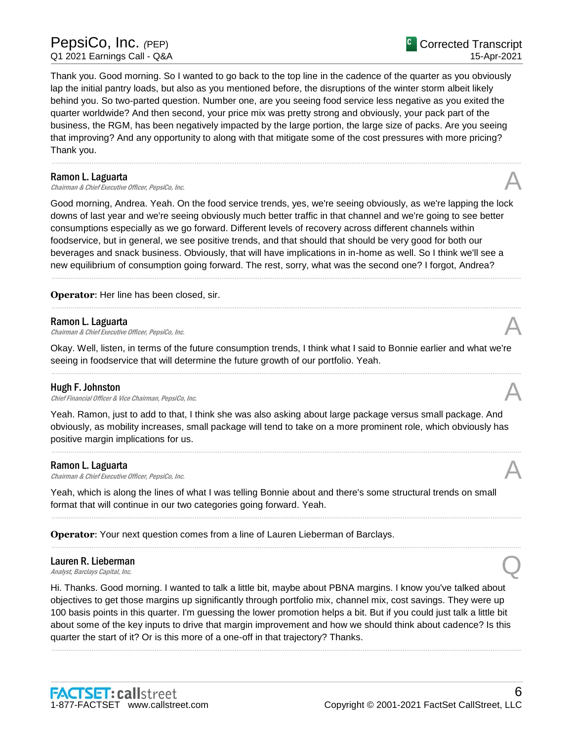Thank you. Good morning. So I wanted to go back to the top line in the cadence of the quarter as you obviously lap the initial pantry loads, but also as you mentioned before, the disruptions of the winter storm albeit likely behind you. So two-parted question. Number one, are you seeing food service less negative as you exited the quarter worldwide? And then second, your price mix was pretty strong and obviously, your pack part of the business, the RGM, has been negatively impacted by the large portion, the large size of packs. Are you seeing that improving? And any opportunity to along with that mitigate some of the cost pressures with more pricing? Thank you.

......................................................................................................................................................................................................................................................

#### Ramon L. Laguarta

**Ramon L. Laguarta**<br>Chairman & Chief Executive Officer, PepsiCo, Inc.  $\mathcal{A}$ 

Good morning, Andrea. Yeah. On the food service trends, yes, we're seeing obviously, as we're lapping the lock downs of last year and we're seeing obviously much better traffic in that channel and we're going to see better consumptions especially as we go forward. Different levels of recovery across different channels within foodservice, but in general, we see positive trends, and that should that should be very good for both our beverages and snack business. Obviously, that will have implications in in-home as well. So I think we'll see a new equilibrium of consumption going forward. The rest, sorry, what was the second one? I forgot, Andrea?

......................................................................................................................................................................................................................................................

......................................................................................................................................................................................................................................................

### **Operator**: Her line has been closed, sir.

#### Ramon L. Laguarta

**Ramon L. Laguarta**<br>Chairman & Chief Executive Officer, PepsiCo, Inc.  $\mathcal{A}$ 

Okay. Well, listen, in terms of the future consumption trends, I think what I said to Bonnie earlier and what we're seeing in foodservice that will determine the future growth of our portfolio. Yeah.

......................................................................................................................................................................................................................................................

#### Hugh F. Johnston

**Hugh F. Johnston**<br>Chief Financial Officer & Vice Chairman, PepsiCo, Inc.  $\mathcal{A}$ 

Yeah. Ramon, just to add to that, I think she was also asking about large package versus small package. And obviously, as mobility increases, small package will tend to take on a more prominent role, which obviously has positive margin implications for us.

......................................................................................................................................................................................................................................................

......................................................................................................................................................................................................................................................

......................................................................................................................................................................................................................................................

#### Ramon L. Laguarta

**Ramon L. Laguarta**<br>Chairman & Chief Executive Officer, PepsiCo, Inc.  $\mathcal{A}$ 

Yeah, which is along the lines of what I was telling Bonnie about and there's some structural trends on small format that will continue in our two categories going forward. Yeah.

**Operator**: Your next question comes from a line of Lauren Lieberman of Barclays.

# Lauren R. Lieberman **Lauren R. Lieberman**<br>Analyst, Barclays Capital, Inc.  $\bigotimes$

Hi. Thanks. Good morning. I wanted to talk a little bit, maybe about PBNA margins. I know you've talked about objectives to get those margins up significantly through portfolio mix, channel mix, cost savings. They were up 100 basis points in this quarter. I'm guessing the lower promotion helps a bit. But if you could just talk a little bit about some of the key inputs to drive that margin improvement and how we should think about cadence? Is this quarter the start of it? Or is this more of a one-off in that trajectory? Thanks.

......................................................................................................................................................................................................................................................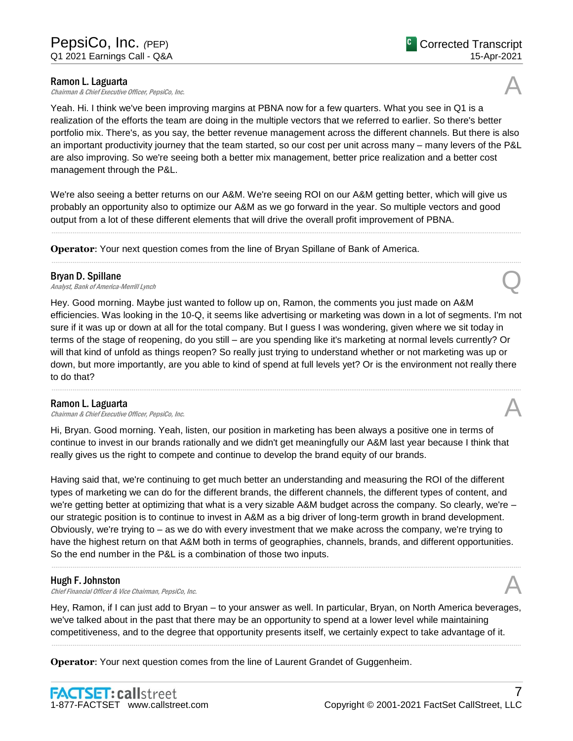**Ramon L. Laguarta**<br>Chairman & Chief Executive Officer, PepsiCo, Inc. **Ramon L. Laguarta**<br>Chairman & Chief Executive Officer, PepsiCo, Inc.  $\mathcal{A}$ 

Yeah. Hi. I think we've been improving margins at PBNA now for a few quarters. What you see in Q1 is a realization of the efforts the team are doing in the multiple vectors that we referred to earlier. So there's better portfolio mix. There's, as you say, the better revenue management across the different channels. But there is also an important productivity journey that the team started, so our cost per unit across many – many levers of the P&L are also improving. So we're seeing both a better mix management, better price realization and a better cost management through the P&L.

We're also seeing a better returns on our A&M. We're seeing ROI on our A&M getting better, which will give us probably an opportunity also to optimize our A&M as we go forward in the year. So multiple vectors and good output from a lot of these different elements that will drive the overall profit improvement of PBNA.

......................................................................................................................................................................................................................................................

......................................................................................................................................................................................................................................................

**Operator**: Your next question comes from the line of Bryan Spillane of Bank of America.

### Bryan D. Spillane

**Bryan D. Spillane**<br>Analyst, Bank of America-Merrill Lynch Question Contains a set of America-Merrill Lynch Question Contains a set of

Hey. Good morning. Maybe just wanted to follow up on, Ramon, the comments you just made on A&M efficiencies. Was looking in the 10-Q, it seems like advertising or marketing was down in a lot of segments. I'm not sure if it was up or down at all for the total company. But I guess I was wondering, given where we sit today in terms of the stage of reopening, do you still – are you spending like it's marketing at normal levels currently? Or will that kind of unfold as things reopen? So really just trying to understand whether or not marketing was up or down, but more importantly, are you able to kind of spend at full levels yet? Or is the environment not really there to do that?

......................................................................................................................................................................................................................................................

### Ramon L. Laguarta

**Ramon L. Laguarta**<br>Chairman & Chief Executive Officer, PepsiCo, Inc.  $\mathcal{A}$ 

Hi, Bryan. Good morning. Yeah, listen, our position in marketing has been always a positive one in terms of continue to invest in our brands rationally and we didn't get meaningfully our A&M last year because I think that really gives us the right to compete and continue to develop the brand equity of our brands.

Having said that, we're continuing to get much better an understanding and measuring the ROI of the different types of marketing we can do for the different brands, the different channels, the different types of content, and we're getting better at optimizing that what is a very sizable A&M budget across the company. So clearly, we're – our strategic position is to continue to invest in A&M as a big driver of long-term growth in brand development. Obviously, we're trying to – as we do with every investment that we make across the company, we're trying to have the highest return on that A&M both in terms of geographies, channels, brands, and different opportunities. So the end number in the P&L is a combination of those two inputs.

## Hugh F. Johnston

Chief Financial Officer & Vice Chairman, PepsiCo, Inc. A

Hey, Ramon, if I can just add to Bryan – to your answer as well. In particular, Bryan, on North America beverages, we've talked about in the past that there may be an opportunity to spend at a lower level while maintaining competitiveness, and to the degree that opportunity presents itself, we certainly expect to take advantage of it.

......................................................................................................................................................................................................................................................

......................................................................................................................................................................................................................................................

**Operator**: Your next question comes from the line of Laurent Grandet of Guggenheim.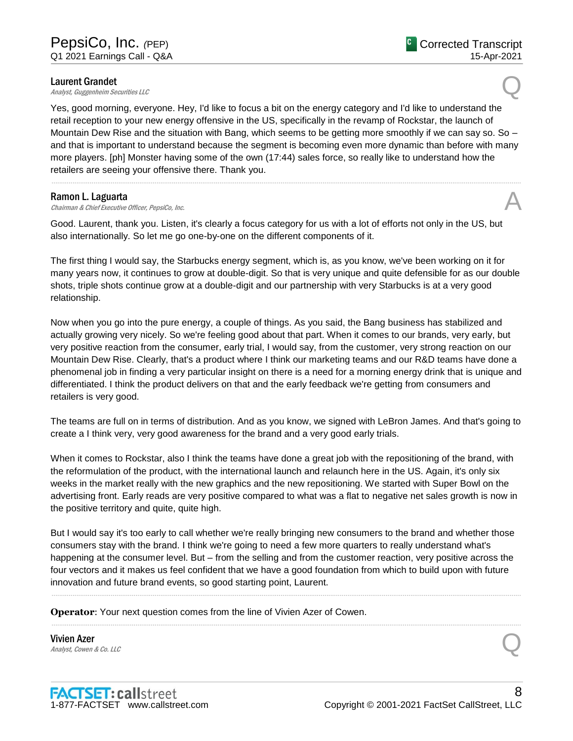**Laurent Grandet**<br>**Analyst, Guggenheim Securities LLC Laurent Grandet**<br>Analyst, Guggenheim Securities LLC

Yes, good morning, everyone. Hey, I'd like to focus a bit on the energy category and I'd like to understand the retail reception to your new energy offensive in the US, specifically in the revamp of Rockstar, the launch of Mountain Dew Rise and the situation with Bang, which seems to be getting more smoothly if we can say so. So – and that is important to understand because the segment is becoming even more dynamic than before with many more players. [ph] Monster having some of the own (17:44) sales force, so really like to understand how the retailers are seeing your offensive there. Thank you.

......................................................................................................................................................................................................................................................

### Ramon L. Laguarta

**Ramon L. Laguarta**<br>Chairman & Chief Executive Officer, PepsiCo, Inc.  $\mathcal{A}$ 

Good. Laurent, thank you. Listen, it's clearly a focus category for us with a lot of efforts not only in the US, but also internationally. So let me go one-by-one on the different components of it.

The first thing I would say, the Starbucks energy segment, which is, as you know, we've been working on it for many years now, it continues to grow at double-digit. So that is very unique and quite defensible for as our double shots, triple shots continue grow at a double-digit and our partnership with very Starbucks is at a very good relationship.

Now when you go into the pure energy, a couple of things. As you said, the Bang business has stabilized and actually growing very nicely. So we're feeling good about that part. When it comes to our brands, very early, but very positive reaction from the consumer, early trial, I would say, from the customer, very strong reaction on our Mountain Dew Rise. Clearly, that's a product where I think our marketing teams and our R&D teams have done a phenomenal job in finding a very particular insight on there is a need for a morning energy drink that is unique and differentiated. I think the product delivers on that and the early feedback we're getting from consumers and retailers is very good.

The teams are full on in terms of distribution. And as you know, we signed with LeBron James. And that's going to create a I think very, very good awareness for the brand and a very good early trials.

When it comes to Rockstar, also I think the teams have done a great job with the repositioning of the brand, with the reformulation of the product, with the international launch and relaunch here in the US. Again, it's only six weeks in the market really with the new graphics and the new repositioning. We started with Super Bowl on the advertising front. Early reads are very positive compared to what was a flat to negative net sales growth is now in the positive territory and quite, quite high.

But I would say it's too early to call whether we're really bringing new consumers to the brand and whether those consumers stay with the brand. I think we're going to need a few more quarters to really understand what's happening at the consumer level. But – from the selling and from the customer reaction, very positive across the four vectors and it makes us feel confident that we have a good foundation from which to build upon with future innovation and future brand events, so good starting point, Laurent.

......................................................................................................................................................................................................................................................

......................................................................................................................................................................................................................................................

**Operator**: Your next question comes from the line of Vivien Azer of Cowen.

Vivien Azer **Vivien Azer**<br>Analyst, Cowen & Co. LLC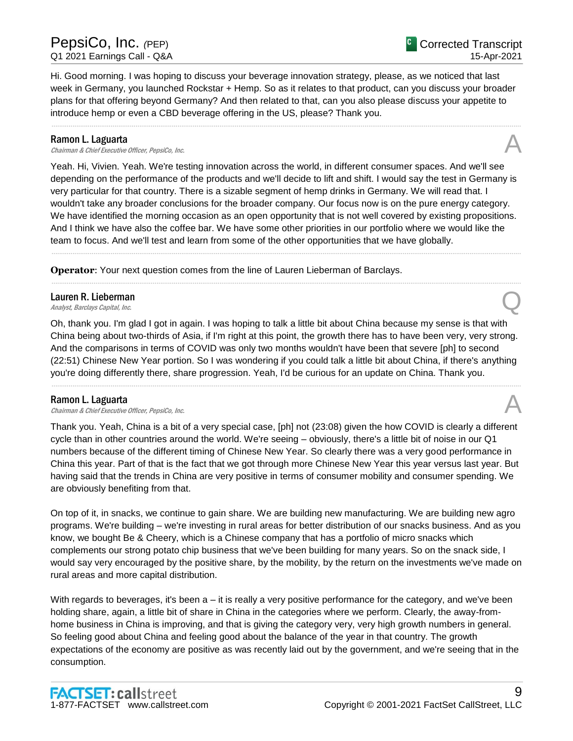Hi. Good morning. I was hoping to discuss your beverage innovation strategy, please, as we noticed that last week in Germany, you launched Rockstar + Hemp. So as it relates to that product, can you discuss your broader plans for that offering beyond Germany? And then related to that, can you also please discuss your appetite to introduce hemp or even a CBD beverage offering in the US, please? Thank you.

......................................................................................................................................................................................................................................................

#### Ramon L. Laguarta

**Ramon L. Laguarta**<br>Chairman & Chief Executive Officer, PepsiCo, Inc.  $\mathcal{A}$ 

Yeah. Hi, Vivien. Yeah. We're testing innovation across the world, in different consumer spaces. And we'll see depending on the performance of the products and we'll decide to lift and shift. I would say the test in Germany is very particular for that country. There is a sizable segment of hemp drinks in Germany. We will read that. I wouldn't take any broader conclusions for the broader company. Our focus now is on the pure energy category. We have identified the morning occasion as an open opportunity that is not well covered by existing propositions. And I think we have also the coffee bar. We have some other priorities in our portfolio where we would like the team to focus. And we'll test and learn from some of the other opportunities that we have globally.

......................................................................................................................................................................................................................................................

......................................................................................................................................................................................................................................................

**Operator**: Your next question comes from the line of Lauren Lieberman of Barclays.

# Lauren R. Lieberman **Lauren R. Lieberman**<br>Analyst, Barclays Capital, Inc.  $\bigotimes$

Oh, thank you. I'm glad I got in again. I was hoping to talk a little bit about China because my sense is that with China being about two-thirds of Asia, if I'm right at this point, the growth there has to have been very, very strong. And the comparisons in terms of COVID was only two months wouldn't have been that severe [ph] to second (22:51) Chinese New Year portion. So I was wondering if you could talk a little bit about China, if there's anything you're doing differently there, share progression. Yeah, I'd be curious for an update on China. Thank you.

......................................................................................................................................................................................................................................................

### Ramon L. Laguarta

**Ramon L. Laguarta**<br>Chairman & Chief Executive Officer, PepsiCo, Inc.  $\mathcal{A}$ 

Thank you. Yeah, China is a bit of a very special case, [ph] not (23:08) given the how COVID is clearly a different cycle than in other countries around the world. We're seeing – obviously, there's a little bit of noise in our Q1 numbers because of the different timing of Chinese New Year. So clearly there was a very good performance in China this year. Part of that is the fact that we got through more Chinese New Year this year versus last year. But having said that the trends in China are very positive in terms of consumer mobility and consumer spending. We are obviously benefiting from that.

On top of it, in snacks, we continue to gain share. We are building new manufacturing. We are building new agro programs. We're building – we're investing in rural areas for better distribution of our snacks business. And as you know, we bought Be & Cheery, which is a Chinese company that has a portfolio of micro snacks which complements our strong potato chip business that we've been building for many years. So on the snack side, I would say very encouraged by the positive share, by the mobility, by the return on the investments we've made on rural areas and more capital distribution.

With regards to beverages, it's been a – it is really a very positive performance for the category, and we've been holding share, again, a little bit of share in China in the categories where we perform. Clearly, the away-fromhome business in China is improving, and that is giving the category very, very high growth numbers in general. So feeling good about China and feeling good about the balance of the year in that country. The growth expectations of the economy are positive as was recently laid out by the government, and we're seeing that in the consumption.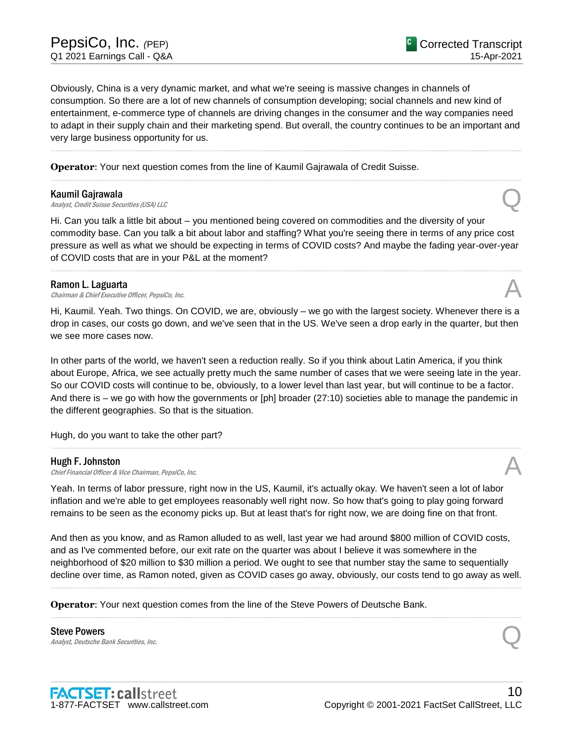Obviously, China is a very dynamic market, and what we're seeing is massive changes in channels of consumption. So there are a lot of new channels of consumption developing; social channels and new kind of entertainment, e-commerce type of channels are driving changes in the consumer and the way companies need to adapt in their supply chain and their marketing spend. But overall, the country continues to be an important and very large business opportunity for us.

......................................................................................................................................................................................................................................................

......................................................................................................................................................................................................................................................

**Operator**: Your next question comes from the line of Kaumil Gajrawala of Credit Suisse.

#### Kaumil Gajrawala

**Kaumil Gajrawala**<br>Analyst, Credit Suisse Securities (USA) LLC

Hi. Can you talk a little bit about – you mentioned being covered on commodities and the diversity of your commodity base. Can you talk a bit about labor and staffing? What you're seeing there in terms of any price cost pressure as well as what we should be expecting in terms of COVID costs? And maybe the fading year-over-year of COVID costs that are in your P&L at the moment?

......................................................................................................................................................................................................................................................

### Ramon L. Laguarta

**Ramon L. Laguarta**<br>Chairman & Chief Executive Officer, PepsiCo, Inc.  $\mathcal{A}$ 

Hi, Kaumil. Yeah. Two things. On COVID, we are, obviously – we go with the largest society. Whenever there is a drop in cases, our costs go down, and we've seen that in the US. We've seen a drop early in the quarter, but then we see more cases now.

In other parts of the world, we haven't seen a reduction really. So if you think about Latin America, if you think about Europe, Africa, we see actually pretty much the same number of cases that we were seeing late in the year. So our COVID costs will continue to be, obviously, to a lower level than last year, but will continue to be a factor. And there is – we go with how the governments or [ph] broader (27:10) societies able to manage the pandemic in the different geographies. So that is the situation.

......................................................................................................................................................................................................................................................

Hugh, do you want to take the other part?

#### Hugh F. Johnston

**Hugh F. Johnston**<br>Chief Financial Officer & Vice Chairman, PepsiCo, Inc.  $\mathcal{A}$ 

Yeah. In terms of labor pressure, right now in the US, Kaumil, it's actually okay. We haven't seen a lot of labor inflation and we're able to get employees reasonably well right now. So how that's going to play going forward remains to be seen as the economy picks up. But at least that's for right now, we are doing fine on that front.

And then as you know, and as Ramon alluded to as well, last year we had around \$800 million of COVID costs, and as I've commented before, our exit rate on the quarter was about I believe it was somewhere in the neighborhood of \$20 million to \$30 million a period. We ought to see that number stay the same to sequentially decline over time, as Ramon noted, given as COVID cases go away, obviously, our costs tend to go away as well.

......................................................................................................................................................................................................................................................

......................................................................................................................................................................................................................................................

**Operator**: Your next question comes from the line of the Steve Powers of Deutsche Bank.

Steve Powers Steve Powers<br>Analyst, Deutsche Bank Securities, Inc. Quality of the Securities, Inc.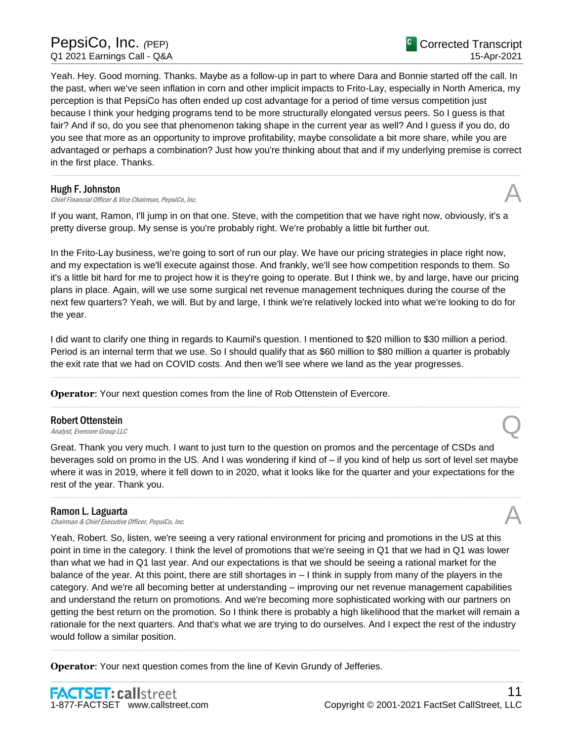# PepsiCo, Inc. *(*PEP) Q1 2021 Earnings Call - Q&A

Yeah. Hey. Good morning. Thanks. Maybe as a follow-up in part to where Dara and Bonnie started off the call. In the past, when we've seen inflation in corn and other implicit impacts to Frito-Lay, especially in North America, my perception is that PepsiCo has often ended up cost advantage for a period of time versus competition just because I think your hedging programs tend to be more structurally elongated versus peers. So I guess is that fair? And if so, do you see that phenomenon taking shape in the current year as well? And I guess if you do, do you see that more as an opportunity to improve profitability, maybe consolidate a bit more share, while you are advantaged or perhaps a combination? Just how you're thinking about that and if my underlying premise is correct in the first place. Thanks.

......................................................................................................................................................................................................................................................

#### Hugh F. Johnston

**Hugh F. Johnston**<br>Chief Financial Officer & Vice Chairman, PepsiCo, Inc.  $\mathcal{A}$ 

If you want, Ramon, I'll jump in on that one. Steve, with the competition that we have right now, obviously, it's a pretty diverse group. My sense is you're probably right. We're probably a little bit further out.

In the Frito-Lay business, we're going to sort of run our play. We have our pricing strategies in place right now, and my expectation is we'll execute against those. And frankly, we'll see how competition responds to them. So it's a little bit hard for me to project how it is they're going to operate. But I think we, by and large, have our pricing plans in place. Again, will we use some surgical net revenue management techniques during the course of the next few quarters? Yeah, we will. But by and large, I think we're relatively locked into what we're looking to do for the year.

I did want to clarify one thing in regards to Kaumil's question. I mentioned to \$20 million to \$30 million a period. Period is an internal term that we use. So I should qualify that as \$60 million to \$80 million a quarter is probably the exit rate that we had on COVID costs. And then we'll see where we land as the year progresses.

......................................................................................................................................................................................................................................................

......................................................................................................................................................................................................................................................

**Operator**: Your next question comes from the line of Rob Ottenstein of Evercore.

# Robert Ottenstein **Robert Ottenstein**<br>Analyst, Evercore Group LLC

Great. Thank you very much. I want to just turn to the question on promos and the percentage of CSDs and beverages sold on promo in the US. And I was wondering if kind of – if you kind of help us sort of level set maybe where it was in 2019, where it fell down to in 2020, what it looks like for the quarter and your expectations for the rest of the year. Thank you.

......................................................................................................................................................................................................................................................

#### Ramon L. Laguarta

**Ramon L. Laguarta**<br>Chairman & Chief Executive Officer, PepsiCo, Inc.  $\mathcal{A}$ 

Yeah, Robert. So, listen, we're seeing a very rational environment for pricing and promotions in the US at this point in time in the category. I think the level of promotions that we're seeing in Q1 that we had in Q1 was lower than what we had in Q1 last year. And our expectations is that we should be seeing a rational market for the balance of the year. At this point, there are still shortages in – I think in supply from many of the players in the category. And we're all becoming better at understanding – improving our net revenue management capabilities and understand the return on promotions. And we're becoming more sophisticated working with our partners on getting the best return on the promotion. So I think there is probably a high likelihood that the market will remain a rationale for the next quarters. And that's what we are trying to do ourselves. And I expect the rest of the industry would follow a similar position.

......................................................................................................................................................................................................................................................

**Operator**: Your next question comes from the line of Kevin Grundy of Jefferies.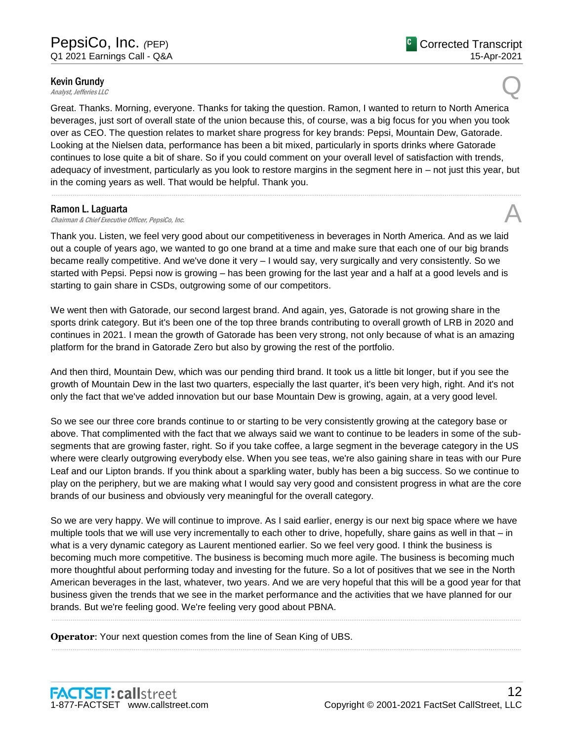# **Kevin Grundy**<br>Analyst, Jefferies LLC **Kevin Grundy**<br>Analyst, Jefferies LLC

Great. Thanks. Morning, everyone. Thanks for taking the question. Ramon, I wanted to return to North America beverages, just sort of overall state of the union because this, of course, was a big focus for you when you took over as CEO. The question relates to market share progress for key brands: Pepsi, Mountain Dew, Gatorade. Looking at the Nielsen data, performance has been a bit mixed, particularly in sports drinks where Gatorade continues to lose quite a bit of share. So if you could comment on your overall level of satisfaction with trends, adequacy of investment, particularly as you look to restore margins in the segment here in – not just this year, but in the coming years as well. That would be helpful. Thank you.

......................................................................................................................................................................................................................................................

### Ramon L. Laguarta

**Ramon L. Laguarta**<br>Chairman & Chief Executive Officer, PepsiCo, Inc.  $\mathcal{A}$ 

Thank you. Listen, we feel very good about our competitiveness in beverages in North America. And as we laid out a couple of years ago, we wanted to go one brand at a time and make sure that each one of our big brands became really competitive. And we've done it very – I would say, very surgically and very consistently. So we started with Pepsi. Pepsi now is growing – has been growing for the last year and a half at a good levels and is starting to gain share in CSDs, outgrowing some of our competitors.

We went then with Gatorade, our second largest brand. And again, yes, Gatorade is not growing share in the sports drink category. But it's been one of the top three brands contributing to overall growth of LRB in 2020 and continues in 2021. I mean the growth of Gatorade has been very strong, not only because of what is an amazing platform for the brand in Gatorade Zero but also by growing the rest of the portfolio.

And then third, Mountain Dew, which was our pending third brand. It took us a little bit longer, but if you see the growth of Mountain Dew in the last two quarters, especially the last quarter, it's been very high, right. And it's not only the fact that we've added innovation but our base Mountain Dew is growing, again, at a very good level.

So we see our three core brands continue to or starting to be very consistently growing at the category base or above. That complimented with the fact that we always said we want to continue to be leaders in some of the subsegments that are growing faster, right. So if you take coffee, a large segment in the beverage category in the US where were clearly outgrowing everybody else. When you see teas, we're also gaining share in teas with our Pure Leaf and our Lipton brands. If you think about a sparkling water, bubly has been a big success. So we continue to play on the periphery, but we are making what I would say very good and consistent progress in what are the core brands of our business and obviously very meaningful for the overall category.

So we are very happy. We will continue to improve. As I said earlier, energy is our next big space where we have multiple tools that we will use very incrementally to each other to drive, hopefully, share gains as well in that – in what is a very dynamic category as Laurent mentioned earlier. So we feel very good. I think the business is becoming much more competitive. The business is becoming much more agile. The business is becoming much more thoughtful about performing today and investing for the future. So a lot of positives that we see in the North American beverages in the last, whatever, two years. And we are very hopeful that this will be a good year for that business given the trends that we see in the market performance and the activities that we have planned for our brands. But we're feeling good. We're feeling very good about PBNA.

......................................................................................................................................................................................................................................................

......................................................................................................................................................................................................................................................

**Operator**: Your next question comes from the line of Sean King of UBS.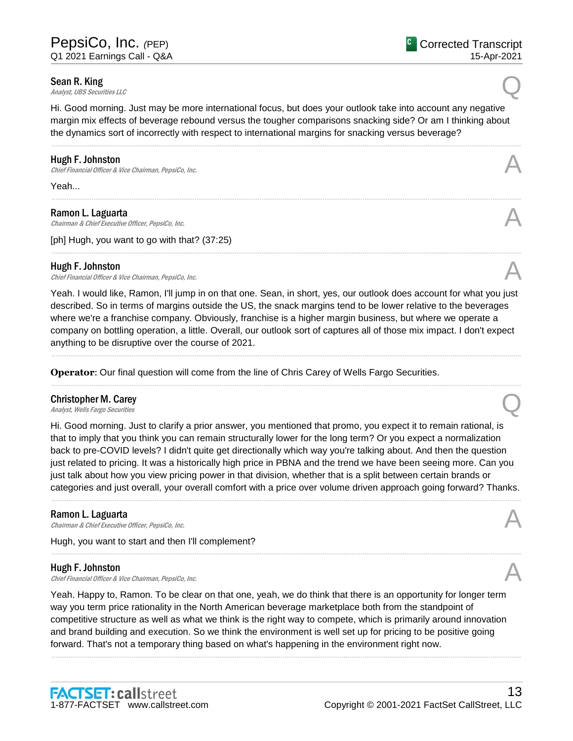**Sean R. King**<br>Analyst, UBS Securities LLC **Sean R. King**<br>Analyst, UBS Securities LLC

Hi. Good morning. Just may be more international focus, but does your outlook take into account any negative margin mix effects of beverage rebound versus the tougher comparisons snacking side? Or am I thinking about the dynamics sort of incorrectly with respect to international margins for snacking versus beverage?

......................................................................................................................................................................................................................................................

......................................................................................................................................................................................................................................................

......................................................................................................................................................................................................................................................

#### Hugh F. Johnston

**Hugh F. Johnston**<br>Chief Financial Officer & Vice Chairman, PepsiCo, Inc.  $\mathcal{A}$ 

Yeah...

#### Ramon L. Laguarta

Chairman & Chief Executive Officer, PepsiCo, Inc.

[ph] Hugh, you want to go with that? (37:25)

### Hugh F. Johnston

**Hugh F. Johnston**<br>Chief Financial Officer & Vice Chairman, PepsiCo, Inc.  $\mathcal{A}$ 

Yeah. I would like, Ramon, I'll jump in on that one. Sean, in short, yes, our outlook does account for what you just described. So in terms of margins outside the US, the snack margins tend to be lower relative to the beverages where we're a franchise company. Obviously, franchise is a higher margin business, but where we operate a company on bottling operation, a little. Overall, our outlook sort of captures all of those mix impact. I don't expect anything to be disruptive over the course of 2021.

......................................................................................................................................................................................................................................................

......................................................................................................................................................................................................................................................

**Operator**: Our final question will come from the line of Chris Carey of Wells Fargo Securities.

# Christopher M. Carey **Christopher M. Carey**<br>Analyst, Wells Fargo Securities **Q.**

Hi. Good morning. Just to clarify a prior answer, you mentioned that promo, you expect it to remain rational, is that to imply that you think you can remain structurally lower for the long term? Or you expect a normalization back to pre-COVID levels? I didn't quite get directionally which way you're talking about. And then the question just related to pricing. It was a historically high price in PBNA and the trend we have been seeing more. Can you just talk about how you view pricing power in that division, whether that is a split between certain brands or categories and just overall, your overall comfort with a price over volume driven approach going forward? Thanks.

......................................................................................................................................................................................................................................................

......................................................................................................................................................................................................................................................

### Ramon L. Laguarta

**Ramon L. Laguarta**<br>Chairman & Chief Executive Officer, PepsiCo, Inc.  $\mathcal{A}$ 

Hugh, you want to start and then I'll complement?

### Hugh F. Johnston

**Hugh F. Johnston**<br>Chief Financial Officer & Vice Chairman, PepsiCo, Inc.  $\mathcal{A}$ 

Yeah. Happy to, Ramon. To be clear on that one, yeah, we do think that there is an opportunity for longer term way you term price rationality in the North American beverage marketplace both from the standpoint of competitive structure as well as what we think is the right way to compete, which is primarily around innovation and brand building and execution. So we think the environment is well set up for pricing to be positive going forward. That's not a temporary thing based on what's happening in the environment right now.

......................................................................................................................................................................................................................................................